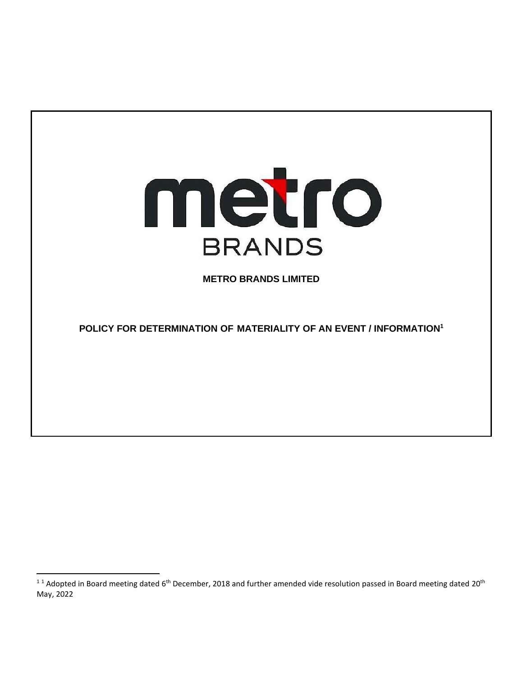

**METRO BRANDS LIMITED**

**POLICY FOR DETERMINATION OF MATERIALITY OF AN EVENT / INFORMATION<sup>1</sup>**

<sup>&</sup>lt;sup>11</sup> Adopted in Board meeting dated 6<sup>th</sup> December, 2018 and further amended vide resolution passed in Board meeting dated 20<sup>th</sup> May, 2022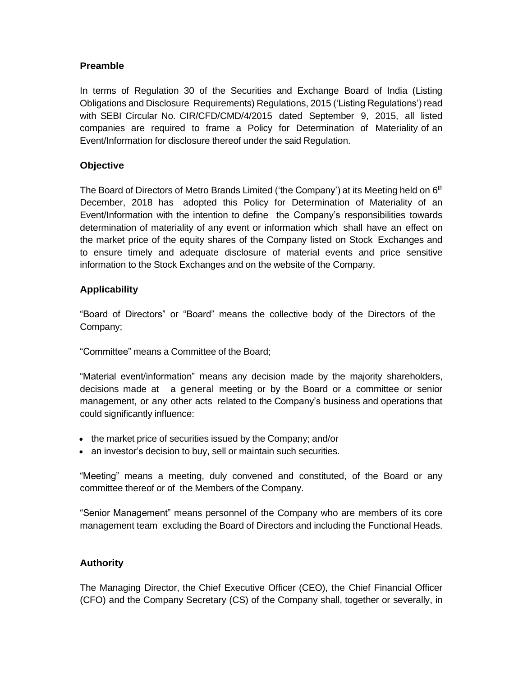#### **Preamble**

In terms of Regulation 30 of the Securities and Exchange Board of India (Listing Obligations and Disclosure Requirements) Regulations, 2015 ('Listing Regulations') read with SEBI Circular No. CIR/CFD/CMD/4/2015 dated September 9, 2015, all listed companies are required to frame a Policy for Determination of Materiality of an Event/Information for disclosure thereof under the said Regulation.

#### **Objective**

The Board of Directors of Metro Brands Limited ('the Company') at its Meeting held on 6<sup>th</sup> December, 2018 has adopted this Policy for Determination of Materiality of an Event/Information with the intention to define the Company's responsibilities towards determination of materiality of any event or information which shall have an effect on the market price of the equity shares of the Company listed on Stock Exchanges and to ensure timely and adequate disclosure of material events and price sensitive information to the Stock Exchanges and on the website of the Company.

#### **Applicability**

"Board of Directors" or "Board" means the collective body of the Directors of the Company;

"Committee" means a Committee of the Board;

"Material event/information" means any decision made by the majority shareholders, decisions made at a general meeting or by the Board or a committee or senior management, or any other acts related to the Company's business and operations that could significantly influence:

- the market price of securities issued by the Company; and/or
- an investor's decision to buy, sell or maintain such securities.

"Meeting" means a meeting, duly convened and constituted, of the Board or any committee thereof or of the Members of the Company.

"Senior Management" means personnel of the Company who are members of its core management team excluding the Board of Directors and including the Functional Heads.

# **Authority**

The Managing Director, the Chief Executive Officer (CEO), the Chief Financial Officer (CFO) and the Company Secretary (CS) of the Company shall, together or severally, in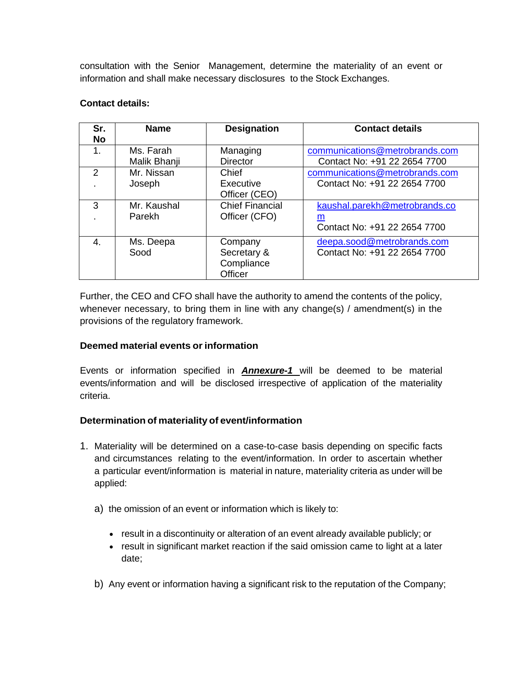consultation with the Senior Management, determine the materiality of an event or information and shall make necessary disclosures to the Stock Exchanges.

#### **Contact details:**

| Sr.<br><b>No</b> | <b>Name</b>               | <b>Designation</b>                              | <b>Contact details</b>                                                    |
|------------------|---------------------------|-------------------------------------------------|---------------------------------------------------------------------------|
| 1.               | Ms. Farah<br>Malik Bhanji | Managing<br><b>Director</b>                     | communications@metrobrands.com<br>Contact No: +91 22 2654 7700            |
| $\mathcal{P}$    | Mr. Nissan<br>Joseph      | Chief<br>Executive<br>Officer (CEO)             | communications@metrobrands.com<br>Contact No: +91 22 2654 7700            |
| 3                | Mr. Kaushal<br>Parekh     | <b>Chief Financial</b><br>Officer (CFO)         | kaushal.parekh@metrobrands.co<br><u>m</u><br>Contact No: +91 22 2654 7700 |
| $\mathbf{4}$     | Ms. Deepa<br>Sood         | Company<br>Secretary &<br>Compliance<br>Officer | deepa.sood@metrobrands.com<br>Contact No: +91 22 2654 7700                |

Further, the CEO and CFO shall have the authority to amend the contents of the policy, whenever necessary, to bring them in line with any change(s) / amendment(s) in the provisions of the regulatory framework.

# **Deemed material events or information**

Events or information specified in *Annexure-1* will be deemed to be material events/information and will be disclosed irrespective of application of the materiality criteria.

# **Determination of materiality of event/information**

- 1. Materiality will be determined on a case-to-case basis depending on specific facts and circumstances relating to the event/information. In order to ascertain whether a particular event/information is material in nature, materiality criteria as under will be applied:
	- a) the omission of an event or information which is likely to:
		- result in a discontinuity or alteration of an event already available publicly; or
		- result in significant market reaction if the said omission came to light at a later date;
	- b) Any event or information having a significant risk to the reputation of the Company;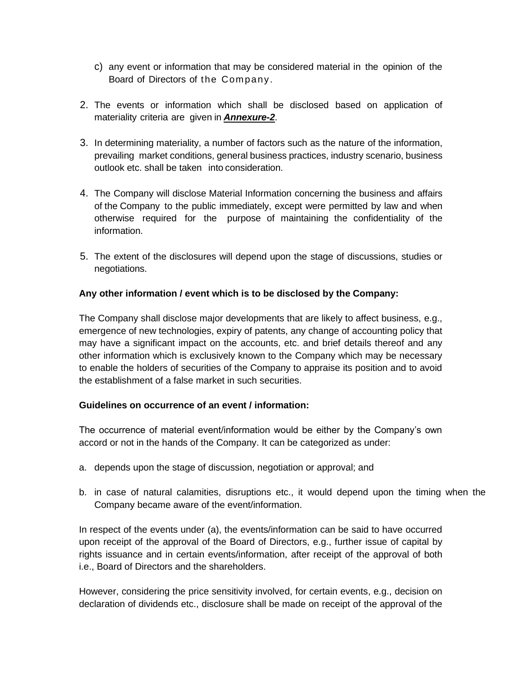- c) any event or information that may be considered material in the opinion of the Board of Directors of the Company .
- 2. The events or information which shall be disclosed based on application of materiality criteria are given in *Annexure-2*.
- 3. In determining materiality, a number of factors such as the nature of the information, prevailing market conditions, general business practices, industry scenario, business outlook etc. shall be taken into consideration.
- 4. The Company will disclose Material Information concerning the business and affairs of the Company to the public immediately, except were permitted by law and when otherwise required for the purpose of maintaining the confidentiality of the information.
- 5. The extent of the disclosures will depend upon the stage of discussions, studies or negotiations.

# **Any other information / event which is to be disclosed by the Company:**

The Company shall disclose major developments that are likely to affect business, e.g., emergence of new technologies, expiry of patents, any change of accounting policy that may have a significant impact on the accounts, etc. and brief details thereof and any other information which is exclusively known to the Company which may be necessary to enable the holders of securities of the Company to appraise its position and to avoid the establishment of a false market in such securities.

#### **Guidelines on occurrence of an event / information:**

The occurrence of material event/information would be either by the Company's own accord or not in the hands of the Company. It can be categorized as under:

- a. depends upon the stage of discussion, negotiation or approval; and
- b. in case of natural calamities, disruptions etc., it would depend upon the timing when the Company became aware of the event/information.

In respect of the events under (a), the events/information can be said to have occurred upon receipt of the approval of the Board of Directors, e.g., further issue of capital by rights issuance and in certain events/information, after receipt of the approval of both i.e., Board of Directors and the shareholders.

However, considering the price sensitivity involved, for certain events, e.g., decision on declaration of dividends etc., disclosure shall be made on receipt of the approval of the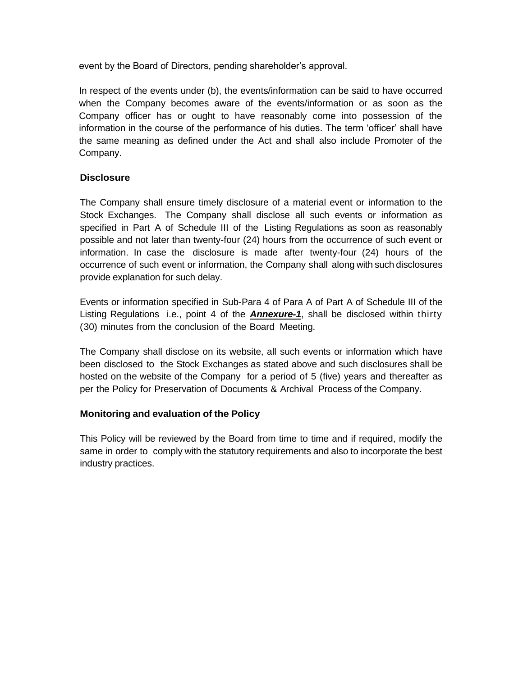event by the Board of Directors, pending shareholder's approval.

In respect of the events under (b), the events/information can be said to have occurred when the Company becomes aware of the events/information or as soon as the Company officer has or ought to have reasonably come into possession of the information in the course of the performance of his duties. The term 'officer' shall have the same meaning as defined under the Act and shall also include Promoter of the Company.

# **Disclosure**

The Company shall ensure timely disclosure of a material event or information to the Stock Exchanges. The Company shall disclose all such events or information as specified in Part A of Schedule III of the Listing Regulations as soon as reasonably possible and not later than twenty-four (24) hours from the occurrence of such event or information. In case the disclosure is made after twenty-four (24) hours of the occurrence of such event or information, the Company shall along with such disclosures provide explanation for such delay.

Events or information specified in Sub-Para 4 of Para A of Part A of Schedule III of the Listing Regulations i.e., point 4 of the *Annexure-1*, shall be disclosed within thirty (30) minutes from the conclusion of the Board Meeting.

The Company shall disclose on its website, all such events or information which have been disclosed to the Stock Exchanges as stated above and such disclosures shall be hosted on the website of the Company for a period of 5 (five) years and thereafter as per the Policy for Preservation of Documents & Archival Process of the Company.

# **Monitoring and evaluation of the Policy**

This Policy will be reviewed by the Board from time to time and if required, modify the same in order to comply with the statutory requirements and also to incorporate the best industry practices.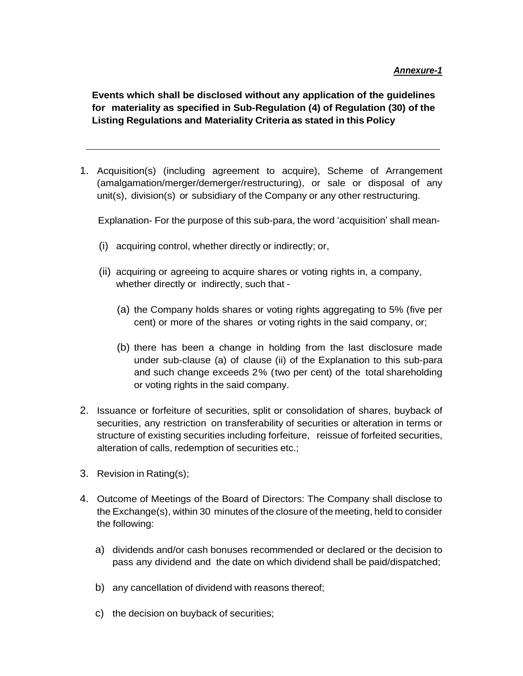**Events which shall be disclosed without any application of the guidelines for materiality as specified in Sub-Regulation (4) of Regulation (30) of the Listing Regulations and Materiality Criteria as stated in this Policy**

1. Acquisition(s) (including agreement to acquire), Scheme of Arrangement (amalgamation/merger/demerger/restructuring), or sale or disposal of any unit(s), division(s) or subsidiary of the Company or any other restructuring.

Explanation- For the purpose of this sub-para, the word 'acquisition' shall mean-

- (i) acquiring control, whether directly or indirectly; or,
- (ii) acquiring or agreeing to acquire shares or voting rights in, a company, whether directly or indirectly, such that -
	- (a) the Company holds shares or voting rights aggregating to 5% (five per cent) or more of the shares or voting rights in the said company, or;
	- (b) there has been a change in holding from the last disclosure made under sub-clause (a) of clause (ii) of the Explanation to this sub-para and such change exceeds 2% (two per cent) of the total shareholding or voting rights in the said company.
- 2. Issuance or forfeiture of securities, split or consolidation of shares, buyback of securities, any restriction on transferability of securities or alteration in terms or structure of existing securities including forfeiture, reissue of forfeited securities, alteration of calls, redemption of securities etc.;
- 3. Revision in Rating(s);
- 4. Outcome of Meetings of the Board of Directors: The Company shall disclose to the Exchange(s), within 30 minutes of the closure of the meeting, held to consider the following:
	- a) dividends and/or cash bonuses recommended or declared or the decision to pass any dividend and the date on which dividend shall be paid/dispatched;
	- b) any cancellation of dividend with reasons thereof;
	- c) the decision on buyback of securities;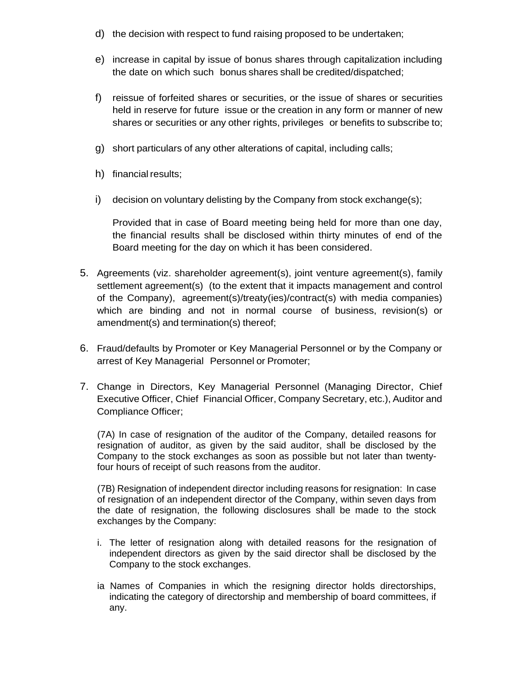- d) the decision with respect to fund raising proposed to be undertaken;
- e) increase in capital by issue of bonus shares through capitalization including the date on which such bonus shares shall be credited/dispatched;
- f) reissue of forfeited shares or securities, or the issue of shares or securities held in reserve for future issue or the creation in any form or manner of new shares or securities or any other rights, privileges or benefits to subscribe to;
- g) short particulars of any other alterations of capital, including calls;
- h) financial results;
- i) decision on voluntary delisting by the Company from stock exchange(s);

Provided that in case of Board meeting being held for more than one day, the financial results shall be disclosed within thirty minutes of end of the Board meeting for the day on which it has been considered.

- 5. Agreements (viz. shareholder agreement(s), joint venture agreement(s), family settlement agreement(s) (to the extent that it impacts management and control of the Company), agreement(s)/treaty(ies)/contract(s) with media companies) which are binding and not in normal course of business, revision(s) or amendment(s) and termination(s) thereof;
- 6. Fraud/defaults by Promoter or Key Managerial Personnel or by the Company or arrest of Key Managerial Personnel or Promoter;
- 7. Change in Directors, Key Managerial Personnel (Managing Director, Chief Executive Officer, Chief Financial Officer, Company Secretary, etc.), Auditor and Compliance Officer;

(7A) In case of resignation of the auditor of the Company, detailed reasons for resignation of auditor, as given by the said auditor, shall be disclosed by the Company to the stock exchanges as soon as possible but not later than twentyfour hours of receipt of such reasons from the auditor.

(7B) Resignation of independent director including reasons for resignation: In case of resignation of an independent director of the Company, within seven days from the date of resignation, the following disclosures shall be made to the stock exchanges by the Company:

- i. The letter of resignation along with detailed reasons for the resignation of independent directors as given by the said director shall be disclosed by the Company to the stock exchanges.
- ia Names of Companies in which the resigning director holds directorships, indicating the category of directorship and membership of board committees, if any.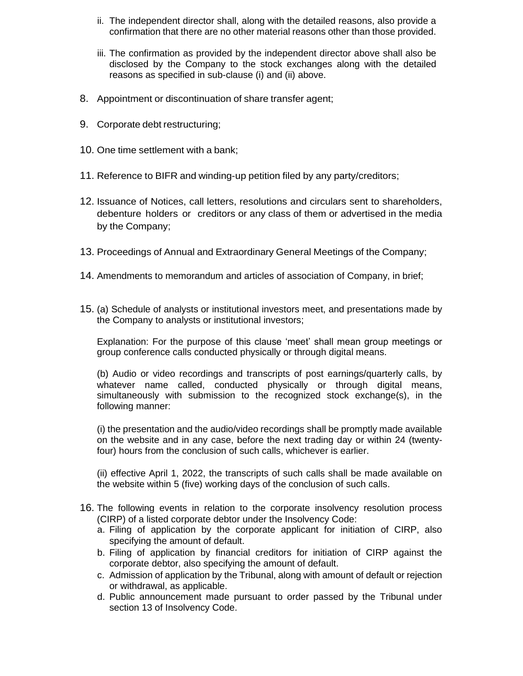- ii. The independent director shall, along with the detailed reasons, also provide a confirmation that there are no other material reasons other than those provided.
- iii. The confirmation as provided by the independent director above shall also be disclosed by the Company to the stock exchanges along with the detailed reasons as specified in sub-clause (i) and (ii) above.
- 8. Appointment or discontinuation of share transfer agent;
- 9. Corporate debt restructuring;
- 10. One time settlement with a bank;
- 11. Reference to BIFR and winding-up petition filed by any party/creditors;
- 12. Issuance of Notices, call letters, resolutions and circulars sent to shareholders, debenture holders or creditors or any class of them or advertised in the media by the Company;
- 13. Proceedings of Annual and Extraordinary General Meetings of the Company;
- 14. Amendments to memorandum and articles of association of Company, in brief;
- 15. (a) Schedule of analysts or institutional investors meet, and presentations made by the Company to analysts or institutional investors;

Explanation: For the purpose of this clause 'meet' shall mean group meetings or group conference calls conducted physically or through digital means.

(b) Audio or video recordings and transcripts of post earnings/quarterly calls, by whatever name called, conducted physically or through digital means, simultaneously with submission to the recognized stock exchange(s), in the following manner:

(i) the presentation and the audio/video recordings shall be promptly made available on the website and in any case, before the next trading day or within 24 (twentyfour) hours from the conclusion of such calls, whichever is earlier.

(ii) effective April 1, 2022, the transcripts of such calls shall be made available on the website within 5 (five) working days of the conclusion of such calls.

- 16. The following events in relation to the corporate insolvency resolution process (CIRP) of a listed corporate debtor under the Insolvency Code:
	- a. Filing of application by the corporate applicant for initiation of CIRP, also specifying the amount of default.
	- b. Filing of application by financial creditors for initiation of CIRP against the corporate debtor, also specifying the amount of default.
	- c. Admission of application by the Tribunal, along with amount of default or rejection or withdrawal, as applicable.
	- d. Public announcement made pursuant to order passed by the Tribunal under section 13 of Insolvency Code.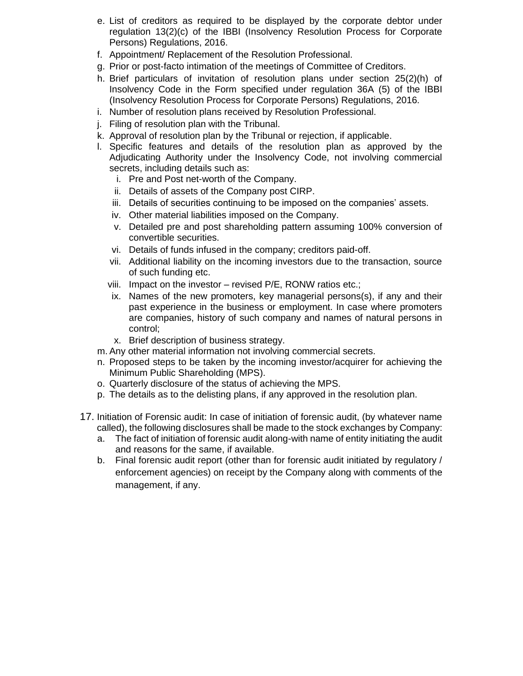- e. List of creditors as required to be displayed by the corporate debtor under regulation 13(2)(c) of the IBBI (Insolvency Resolution Process for Corporate Persons) Regulations, 2016.
- f. Appointment/ Replacement of the Resolution Professional.
- g. Prior or post-facto intimation of the meetings of Committee of Creditors.
- h. Brief particulars of invitation of resolution plans under section 25(2)(h) of Insolvency Code in the Form specified under regulation 36A (5) of the IBBI (Insolvency Resolution Process for Corporate Persons) Regulations, 2016.
- i. Number of resolution plans received by Resolution Professional.
- j. Filing of resolution plan with the Tribunal.
- k. Approval of resolution plan by the Tribunal or rejection, if applicable.
- l. Specific features and details of the resolution plan as approved by the Adjudicating Authority under the Insolvency Code, not involving commercial secrets, including details such as:
	- i. Pre and Post net-worth of the Company.
	- ii. Details of assets of the Company post CIRP.
	- iii. Details of securities continuing to be imposed on the companies' assets.
	- iv. Other material liabilities imposed on the Company.
	- v. Detailed pre and post shareholding pattern assuming 100% conversion of convertible securities.
	- vi. Details of funds infused in the company; creditors paid-off.
	- vii. Additional liability on the incoming investors due to the transaction, source of such funding etc.
	- viii. Impact on the investor revised P/E, RONW ratios etc.;
	- ix. Names of the new promoters, key managerial persons(s), if any and their past experience in the business or employment. In case where promoters are companies, history of such company and names of natural persons in control;
	- x. Brief description of business strategy.
- m. Any other material information not involving commercial secrets.
- n. Proposed steps to be taken by the incoming investor/acquirer for achieving the Minimum Public Shareholding (MPS).
- o. Quarterly disclosure of the status of achieving the MPS.
- p. The details as to the delisting plans, if any approved in the resolution plan.
- 17. Initiation of Forensic audit: In case of initiation of forensic audit, (by whatever name called), the following disclosures shall be made to the stock exchanges by Company:
	- a. The fact of initiation of forensic audit along-with name of entity initiating the audit and reasons for the same, if available.
	- b. Final forensic audit report (other than for forensic audit initiated by regulatory / enforcement agencies) on receipt by the Company along with comments of the management, if any.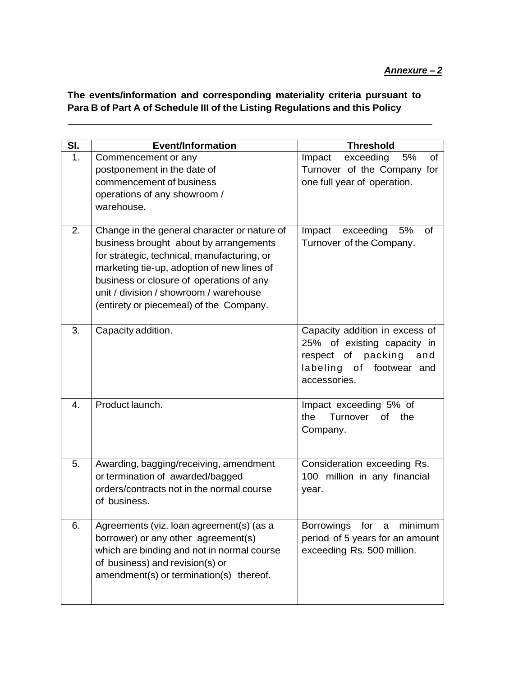#### *Annexure – 2*

**The events/information and corresponding materiality criteria pursuant to Para B of Part A of Schedule III of the Listing Regulations and this Policy**

| SI. | <b>Event/Information</b>                                                                                                                                                                                                                                                                                             | <b>Threshold</b>                                                                                                                          |
|-----|----------------------------------------------------------------------------------------------------------------------------------------------------------------------------------------------------------------------------------------------------------------------------------------------------------------------|-------------------------------------------------------------------------------------------------------------------------------------------|
| 1.  | Commencement or any<br>postponement in the date of<br>commencement of business<br>operations of any showroom /<br>warehouse.                                                                                                                                                                                         | exceeding<br>5%<br>of<br>Impact<br>Turnover of the Company for<br>one full year of operation.                                             |
| 2.  | Change in the general character or nature of<br>business brought about by arrangements<br>for strategic, technical, manufacturing, or<br>marketing tie-up, adoption of new lines of<br>business or closure of operations of any<br>unit / division / showroom / warehouse<br>(entirety or piecemeal) of the Company. | exceeding<br>5%<br>Impact<br><b>of</b><br>Turnover of the Company.                                                                        |
| 3.  | Capacity addition.                                                                                                                                                                                                                                                                                                   | Capacity addition in excess of<br>25% of existing capacity in<br>respect of packing<br>and<br>labeling of<br>footwear and<br>accessories. |
| 4.  | Product launch.                                                                                                                                                                                                                                                                                                      | Impact exceeding 5% of<br>Turnover of the<br>the<br>Company.                                                                              |
| 5.  | Awarding, bagging/receiving, amendment<br>or termination of awarded/bagged<br>orders/contracts not in the normal course<br>of business.                                                                                                                                                                              | Consideration exceeding Rs.<br>100 million in any financial<br>year.                                                                      |
| 6.  | Agreements (viz. loan agreement(s) (as a<br>borrower) or any other agreement(s)<br>which are binding and not in normal course<br>of business) and revision(s) or<br>amendment(s) or termination(s) thereof.                                                                                                          | <b>Borrowings</b><br>for a<br>minimum<br>period of 5 years for an amount<br>exceeding Rs. 500 million.                                    |